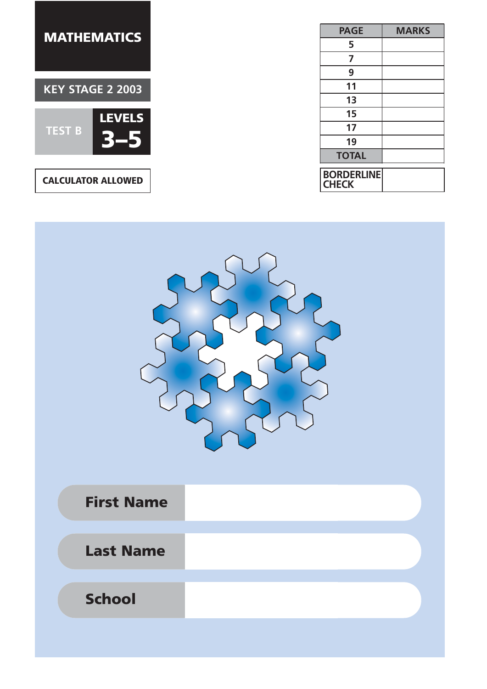

| <b>PAGE</b>                       | <b>MARKS</b> |
|-----------------------------------|--------------|
| 5                                 |              |
| 7                                 |              |
| 9                                 |              |
| 11                                |              |
| 13                                |              |
| 15                                |              |
| 17                                |              |
| 19                                |              |
| <b>TOTAL</b>                      |              |
| <b>BORDERLINE</b><br><b>CHECK</b> |              |



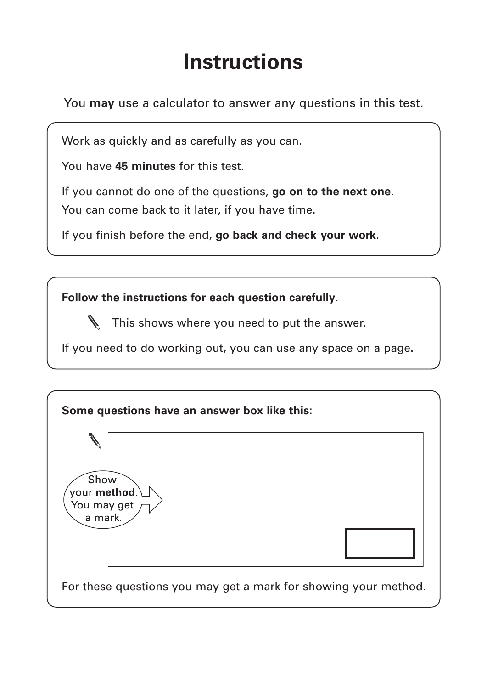## **Instructions**

You **may** use a calculator to answer any questions in this test.

Work as quickly and as carefully as you can.

You have **45 minutes** for this test.

If you cannot do one of the questions, **go on to the next one**. You can come back to it later, if you have time.

If you finish before the end, **go back and check your work**.

**Follow the instructions for each question carefully**.

This shows where you need to put the answer.

If you need to do working out, you can use any space on a page.

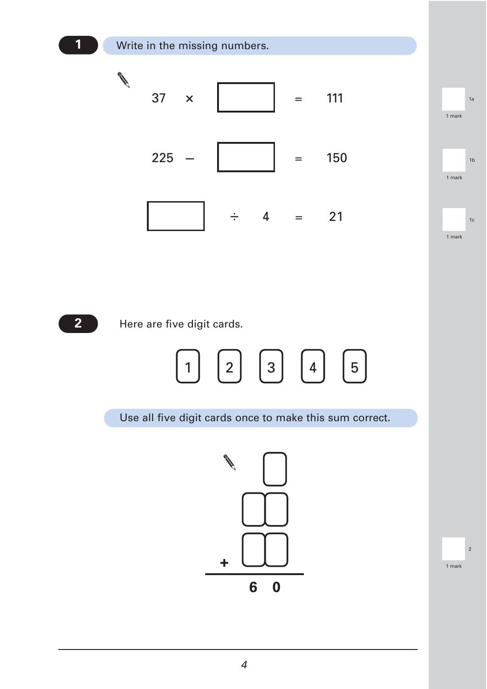





Use all five digit cards once to make this sum correct.



2 1 mark

1a 1 mark

1b<br>1 mark<br>1 mark 1 mark

1c 1 mark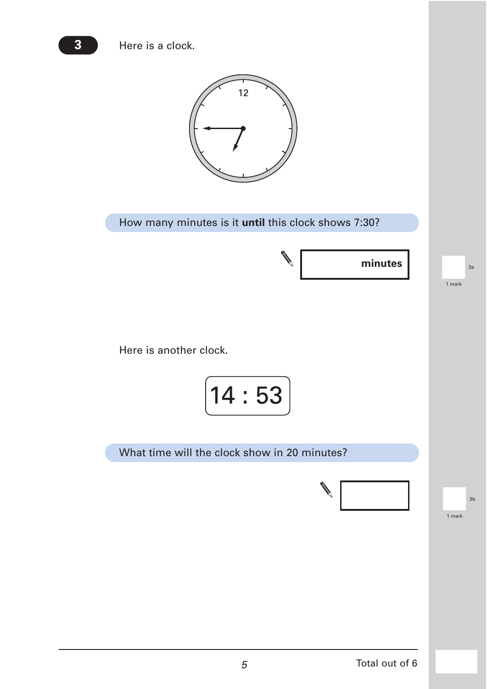Here is a clock.

**3**



How many minutes is it **until** this clock shows 7:30?

**minutes**

 $3a$ <br> $1 mark$ 1 mark

Here is another clock.

$$
\boxed{14:53}
$$

What time will the clock show in 20 minutes?



3b<br>
1 mark 1 mark

5 Total out of 6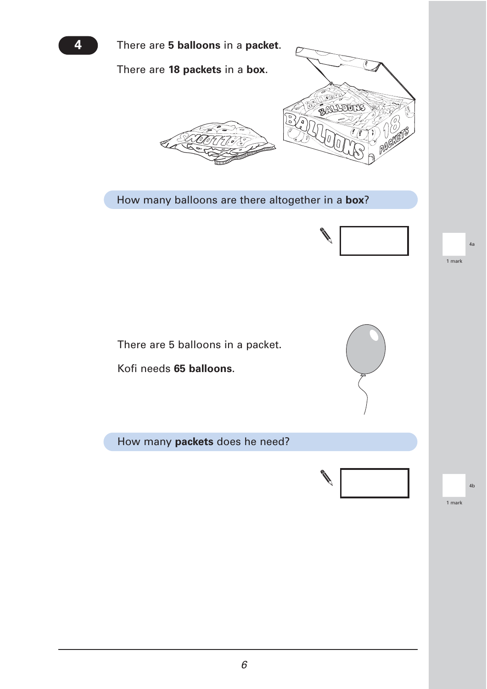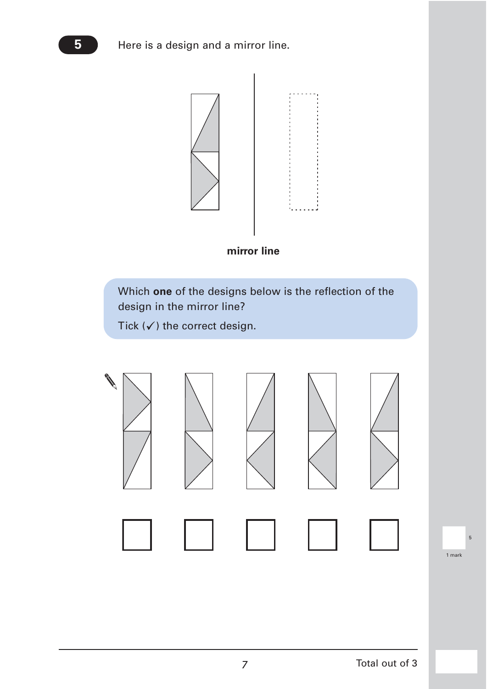



Which **one** of the designs below is the reflection of the design in the mirror line?

Tick  $(\checkmark)$  the correct design.



5 1 mark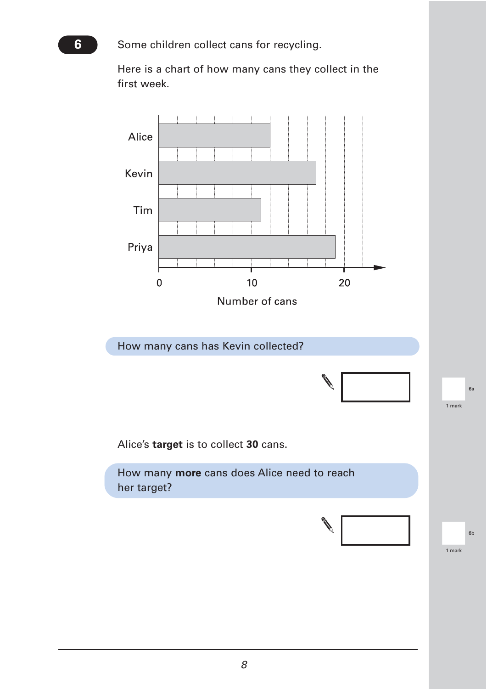Some children collect cans for recycling.

Here is a chart of how many cans they collect in the first week.

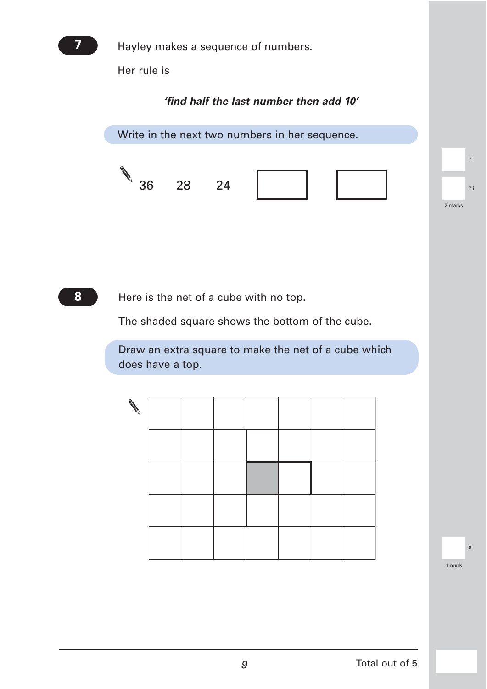

Hayley makes a sequence of numbers.

Her rule is

## *'find half the last number then add 10'*

Write in the next two numbers in her sequence. 36 28 24 7ii 2 marks 7i

**8**

Here is the net of a cube with no top.

The shaded square shows the bottom of the cube.

Draw an extra square to make the net of a cube which does have a top.

| G |  |  |  |  |
|---|--|--|--|--|
|   |  |  |  |  |
|   |  |  |  |  |
|   |  |  |  |  |
|   |  |  |  |  |

8<br>1 mark 1 mark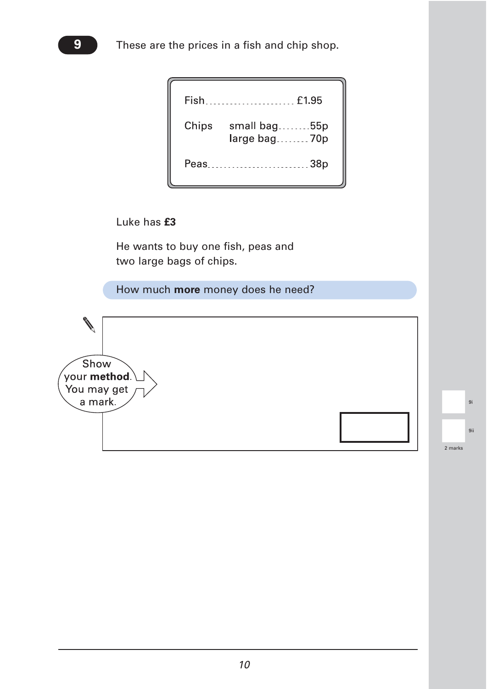|       | Fish<br>£1.95                |
|-------|------------------------------|
| Chips | small bag55p<br>large bag70p |
|       | .38p<br>Peas                 |

Luke has **£3**

He wants to buy one fish, peas and two large bags of chips.

How much **more** money does he need?

Show your **method**. You may get a mark.

|         | 9i  |
|---------|-----|
|         | 9ii |
| 2 marks |     |

**9**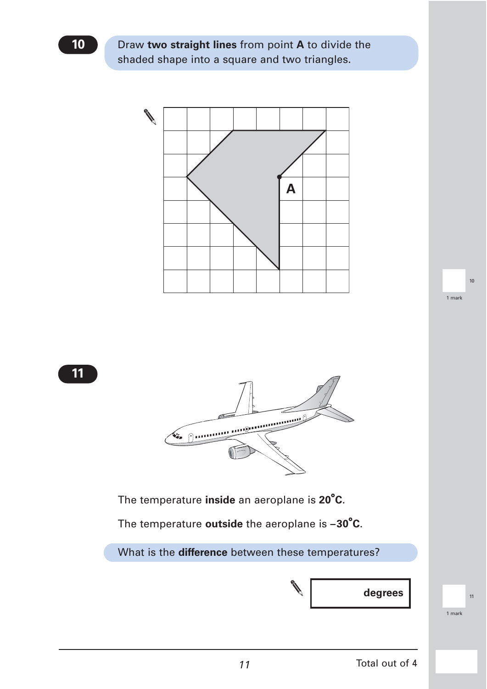Draw **two straight lines** from point **A** to divide the shaded shape into a square and two triangles.





The temperature **inside** an aeroplane is **20°C**.

The temperature **outside** the aeroplane is **–30°C**.

What is the **difference** between these temperatures?



|<br>|<br>|<br>|<br>|<br>|<br>|<br>|<br>|<br>|<br>|<br>|<br>|

10<br>1 mark<br>1 mark 1 mark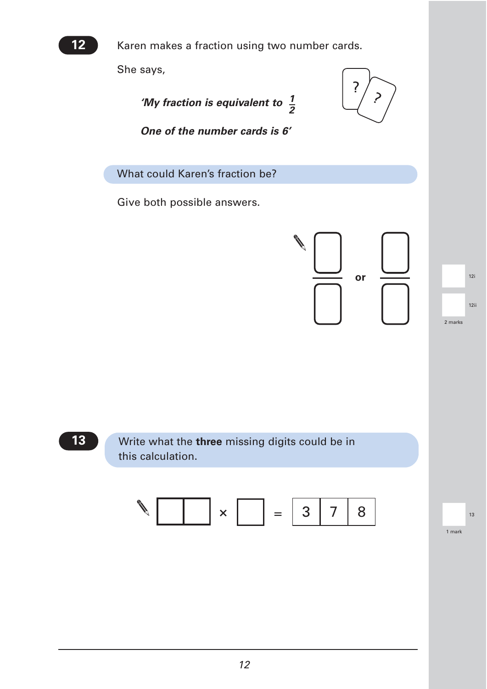

Karen makes a fraction using two number cards.

She says,

'My fraction is equivalent to  $\frac{1}{6}$ *2*



*One of the number cards is 6'*

What could Karen's fraction be?

Give both possible answers.



12ii 2 marks |<br>|<br>|<br>|<br>|<br>|<br>|

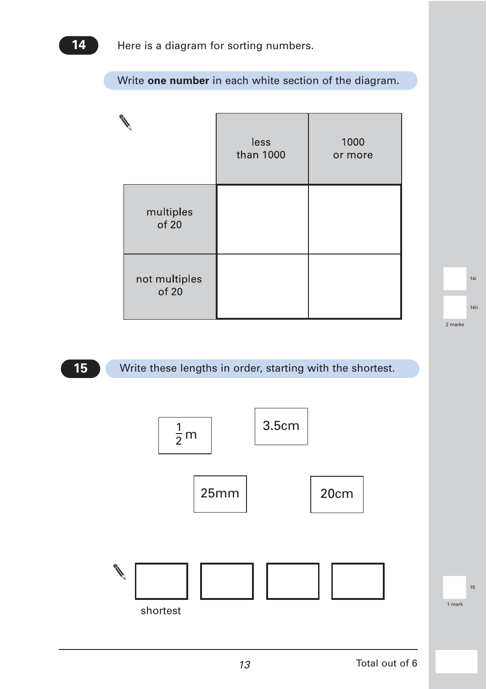Write **one number** in each white section of the diagram.

|                        | less<br>than 1000 | 1000<br>or more |
|------------------------|-------------------|-----------------|
| multiples<br>of 20     |                   |                 |
| not multiples<br>of 20 |                   |                 |

14ii 2 marks

15 1 mark

|<br>|-<br>| 14i<br>|

**15**

## Write these lengths in order, starting with the shortest.

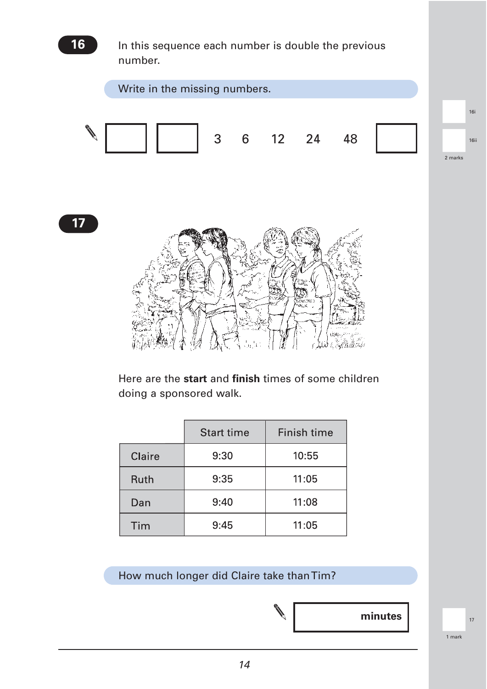

|             | <b>Start time</b> | Finish time |
|-------------|-------------------|-------------|
| Claire      | 9:30              | 10:55       |
| <b>Ruth</b> | 9:35              | 11:05       |
| Dan         | 9:40              | 11:08       |
| Tim         | 9:45              | 11:05       |

How much longer did Claire take than Tim?



17<br>1 mark<br>1 mark 1 mark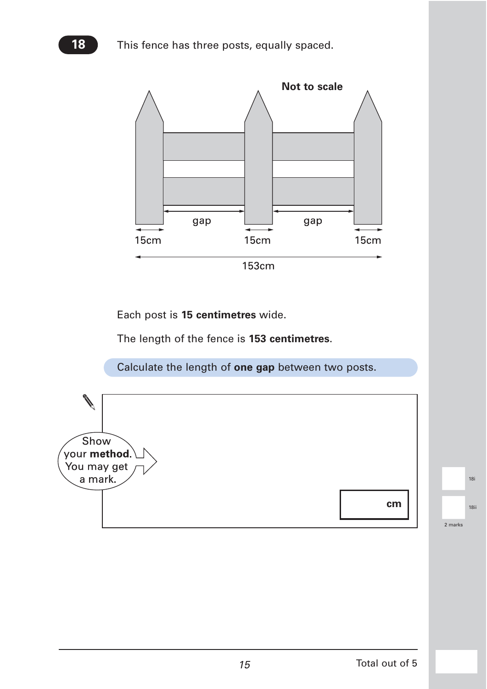**18** This fence has three posts, equally spaced.



Each post is **15 centimetres** wide.

The length of the fence is **153 centimetres**.

Calculate the length of **one gap** between two posts.

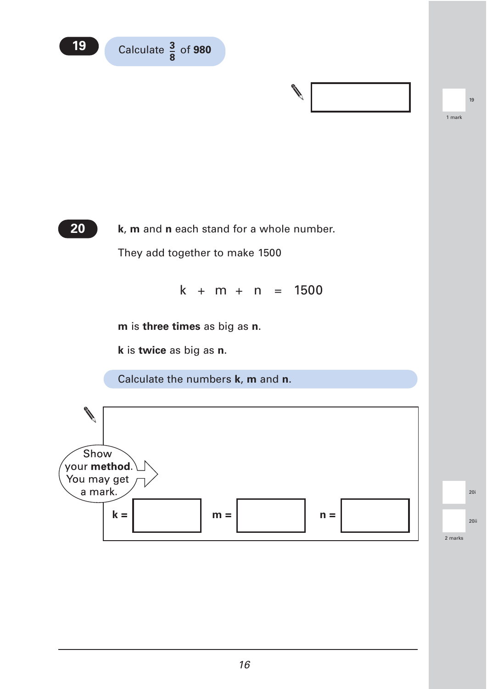



19<br>1<br>1 mark 1 mark



**k**, **m** and **n** each stand for a whole number. They add together to make 1500

 $k + m + n = 1500$ 

**m** is **three times** as big as **n**.

**k** is **twice** as big as **n**.

Calculate the numbers **k**, **m** and **n**.

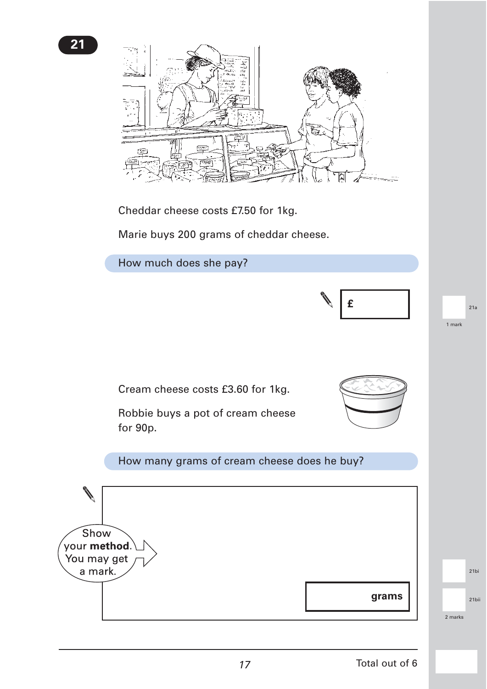

Cheddar cheese costs £7.50 for 1kg.

Marie buys 200 grams of cheddar cheese.



17 Total out of 6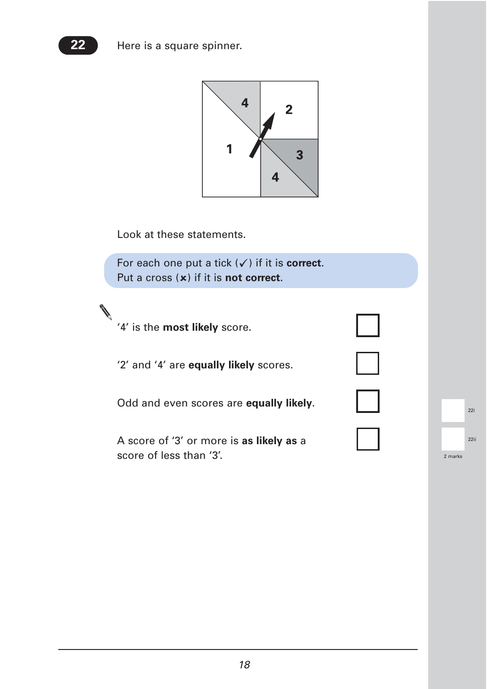



Look at these statements.

For each one put a tick  $(\checkmark)$  if it is **correct**. Put a cross (x) if it is **not correct**.

'4' is the **most likely** score.

**Contract Contract Contract Contract Contract Contract Contract Contract Contract Contract Contract Contract Contract Contract Contract Contract Contract Contract Contract Contract Contract Contract Contract Contract Contr** 

'2' and '4' are **equally likely** scores.

Odd and even scores are **equally likely**.

A score of '3' or more is **as likely as** a score of less than '3'.

| I                                                |  |
|--------------------------------------------------|--|
|                                                  |  |
| $\mathbf{\mathbf{\mathbf{]}}}%$<br>$\mathcal{L}$ |  |
|                                                  |  |

|         | 22i  |
|---------|------|
|         | 22ii |
| 2 marks |      |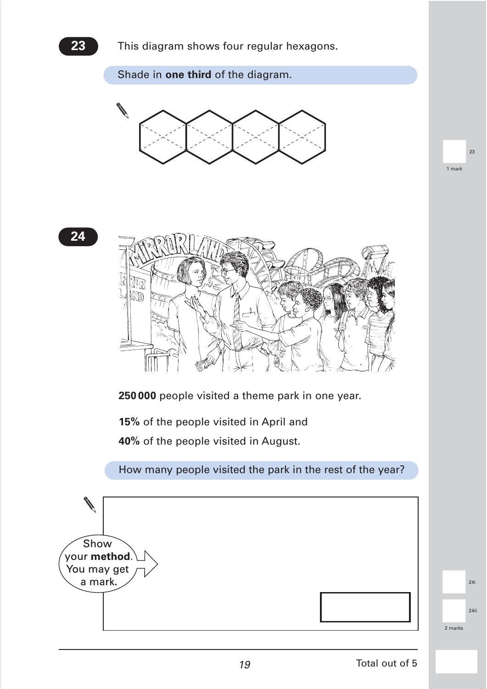

$$
\boxed{24}
$$



**250 000** people visited a theme park in one year.

**15%** of the people visited in April and

**40%** of the people visited in August.

How many people visited the park in the rest of the year?

Show your method. You may get 24i a mark. 24ii<br>2 marks 2 marks